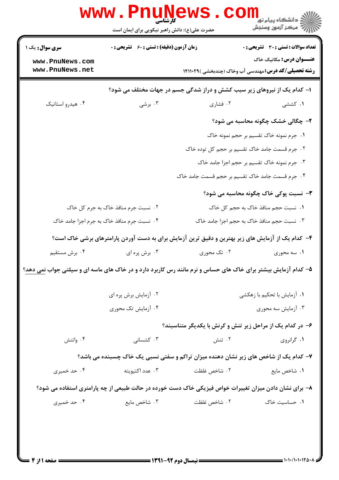|                                                                                                              | $\mathbf{WW}$ . $\mathbf{F}\mathbf{D}$<br>کارشناسی<br>حضرت علی(ع): دانش راهبر نیکویی برای ایمان است |                                            | ڪ دانشڪاه پيا <sub>م</sub> نور<br><mark>ر</mark> ⊽ مرڪز آزمون وسنڊش                                    |
|--------------------------------------------------------------------------------------------------------------|-----------------------------------------------------------------------------------------------------|--------------------------------------------|--------------------------------------------------------------------------------------------------------|
| <b>سری سوال :</b> یک ۱                                                                                       | <b>زمان آزمون (دقیقه) : تستی : 60 ٪ تشریحی : 0</b>                                                  |                                            | <b>تعداد سوالات : تستی : 30 - تشریحی : 0</b>                                                           |
| www.PnuNews.com                                                                                              |                                                                                                     |                                            | <b>عنـــوان درس:</b> مکانیک خاک                                                                        |
| www.PnuNews.net                                                                                              |                                                                                                     |                                            | <b>رشته تحصیلی/کد درس:</b> مهندسی آب وخاک (چندبخشی )۱۴۱۱۰۲۹                                            |
|                                                                                                              |                                                                                                     |                                            | ا- کدام یک از نیروهای زیر سبب کشش و دراز شدگی جسم در جهات مختلف می شود؟                                |
| ۰۴ هیدرو استاتیک                                                                                             | ۰۳ برشی                                                                                             | ۰۲ فشاری                                   | ۰۱ کششی                                                                                                |
|                                                                                                              |                                                                                                     |                                            | <b>۲</b> - چگالی خشک چگونه محاسبه می شود؟                                                              |
|                                                                                                              |                                                                                                     |                                            | ۰ <mark>۱</mark> جرم نمونه خاک تقسیم بر حجم نمونه خاک                                                  |
|                                                                                                              |                                                                                                     |                                            | ۲. جرم قسمت جامد خاک تقسیم بر حجم کل توده خاک                                                          |
|                                                                                                              |                                                                                                     |                                            | ۰۳ جرم نمونه خاک تقسیم بر حجم اجزا جامد خاک                                                            |
| ۰۴ جرم قسمت جامد خاک تقسیم بر حجم قسمت جامد خاک                                                              |                                                                                                     |                                            |                                                                                                        |
|                                                                                                              |                                                                                                     |                                            | <b>۳</b> - نسبت پوکی خاک چگونه محاسبه می شود؟                                                          |
|                                                                                                              | ۰۲ نسبت جرم منافذ خاک به جرم کل خاک                                                                 | ٠١ نسبت حجم منافذ خاک به حجم کل خاک        |                                                                                                        |
| ۰۴ نسبت جرم منافذ خاک به جرم اجزا جامد خاک                                                                   |                                                                                                     | ۰۳ نسبت حجم منافذ خاک به حجم اجزا جامد خاک |                                                                                                        |
|                                                                                                              |                                                                                                     |                                            | ۴– کدام یک از آزمایش های زیر بهترین و دقیق ترین آزمایش برای به دست آوردن پارامترهای برشی خاک است؟      |
| ۰۴ برش مستقيم                                                                                                | ۰۳ برش پره ای                                                                                       | ۰۲ تک محوری                                | ۰۱ سه محوری                                                                                            |
| ۵– کدام آزمایش بیشتر برای خاک های حساس و نرم مانند رس کاربرد دارد و در خاک های ماسه ای و سیلتی جواب نمی دهد؟ |                                                                                                     |                                            |                                                                                                        |
|                                                                                                              | ۰۲ آزمایش برش پره ای                                                                                | ۰۱ آزمایش با تحکیم با زهکشی                |                                                                                                        |
|                                                                                                              | ۰۴ آزمایش تک محوری                                                                                  | ۰۳ آزمایش سه محوری                         |                                                                                                        |
|                                                                                                              |                                                                                                     |                                            | ۶- در کدام یک از مراحل زیر تنش و کرنش با یکدیگر متناسبند؟                                              |
| ۰۴ واتنش                                                                                                     | ۰۳ کشسانی                                                                                           | ۰۲ تنش                                     | ۰۱ گرانروی                                                                                             |
|                                                                                                              |                                                                                                     |                                            | ۷- کدام یک از شاخص های زیر نشان دهنده میزان تراکم و سفتی نسبی یک خاک چسبنده می باشد؟                   |
| ۰۴ حد خمیری                                                                                                  | ۰۳ عدد اکتیویته                                                                                     | ۰۲ شاخص غلظت                               | ٠١ شاخص مايع                                                                                           |
|                                                                                                              |                                                                                                     |                                            | ۸– برای نشان دادن میزان تغییرات خواص فیزیکی خاک دست خورده در حالت طبیعی از چه پارامتری استفاده می شود؟ |
| ۰۴ حد خمیری                                                                                                  | ۰۳ شاخص مایع                                                                                        | ۰۲ شاخص غلظت                               | ۰۱ حساسیت خاک                                                                                          |
|                                                                                                              |                                                                                                     |                                            |                                                                                                        |
|                                                                                                              |                                                                                                     |                                            |                                                                                                        |
|                                                                                                              |                                                                                                     |                                            |                                                                                                        |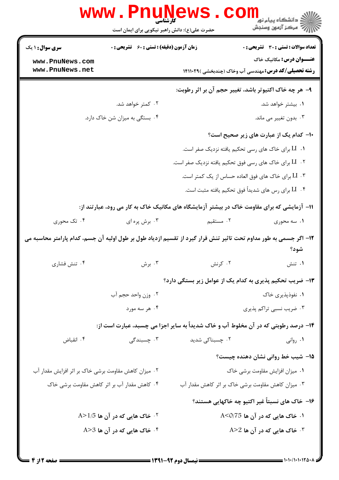|                                                      | <b>www.PnuNews</b>                                          |                 | ڪ دانشڪاه پيا <sub>م</sub> نور<br><mark>√</mark> مرڪز آزمون وسنڊش                                                 |
|------------------------------------------------------|-------------------------------------------------------------|-----------------|-------------------------------------------------------------------------------------------------------------------|
|                                                      | حضرت علی(ع): دانش راهبر نیکویی برای ایمان است               |                 |                                                                                                                   |
| <b>سری سوال : ۱ یک</b>                               | <b>زمان آزمون (دقیقه) : تستی : 60 ٪ تشریحی : 0</b>          |                 | <b>تعداد سوالات : تستی : 30 ٪ تشریحی : 0</b>                                                                      |
| www.PnuNews.com                                      |                                                             |                 | <b>عنـــوان درس:</b> مکانیک خاک                                                                                   |
| www.PnuNews.net                                      |                                                             |                 | <b>رشته تحصیلی/کد درس:</b> مهندسی آب وخاک (چندبخشی )۱۴۱۱۰۲۹                                                       |
|                                                      |                                                             |                 | ۹- هر چه خاک اکتیوتر باشد، تغییر حجم آن بر اثر رطوبت:                                                             |
|                                                      | ۰۲ کمتر خواهد شد.                                           |                 | ۰۱ بیشتر خواهد شد.                                                                                                |
|                                                      | ۰۴ بستگی به میزان شن خاک دارد.                              |                 | ۰۳ بدون تغییر می ماند.                                                                                            |
|                                                      |                                                             |                 | ۱۰– کدام یک از عبارت های زیر صحیح است؟                                                                            |
|                                                      |                                                             |                 | ۰۱ LI برای خاک های رسی تحکیم یافته نزدیک صفر است.                                                                 |
|                                                      |                                                             |                 | ۰۲ LI برای خاک های رسی فوق تحکیم یافته نزدیک صفر است.                                                             |
|                                                      |                                                             |                 | ۰۳ LI برای خاک های فوق العاده حساس از یک کمتر است.                                                                |
|                                                      |                                                             |                 | ۰۴ LI برای رس های شدیداً فوق تحکیم یافته مثبت است.                                                                |
|                                                      |                                                             |                 | ۱۱– آزمایشی که برای مقاومت خاک در بیشتر آزمایشگاه های مکانیک خاک به کار می رود، عبارتند از:                       |
| ۰۴ تک محوری                                          | ۰۳ برش پره ای                                               | ۰۲ مستقیم       | ۰۱ سه محوری                                                                                                       |
|                                                      |                                                             |                 | ۱۲– اگر جسمی به طور مداوم تحت تاثیر تنش قرار گیرد از تقسیم ازدیاد طول بر طول اولیه آن جسم، کدام پارامتر محاسبه می |
|                                                      |                                                             |                 | شود؟                                                                                                              |
| ۰۴ تنش فشاري                                         | ۰۳ برش                                                      | ۰۲ کرنش         | ۰۱ تنش                                                                                                            |
|                                                      |                                                             |                 | ۱۳- ضریب تحکیم پذیری به کدام یک از عوامل زیر بستگی دارد؟                                                          |
| ٠٢ وزن واحد حجم آب                                   |                                                             |                 | ۰۱ نفوذپذیری خاک                                                                                                  |
|                                                      | ۰۴ هر سه مورد                                               |                 | ۰۳ ضریب نسبی تراکم پذیری                                                                                          |
|                                                      |                                                             |                 | ۱۴- درصد رطوبتی که در آن مخلوط آب و خاک شدیداً به سایر اجزا می چسبد، عبارت است از:                                |
| ۰۴ انقباض                                            | ۰۳ چسبندگی                                                  | ۰۲ چسبناکی شدید | ۰۱ روانی                                                                                                          |
|                                                      |                                                             |                 | ۱۵– شیب خط روانی نشان دهنده چیست؟                                                                                 |
| ۰۲ میزان کاهش مقاومت برشی خاک بر اثر افزایش مقدار آب |                                                             |                 | ۰۱ میزان افزایش مقاومت برشی خاک                                                                                   |
|                                                      | ۰۴ کاهش مقدار آب بر اثر کاهش مقاومت برشی خاک                |                 | ۰۳ میزان کاهش مقاومت برشی خاک بر اثر کاهش مقدار آب                                                                |
|                                                      |                                                             |                 | ۱۶– خاک های نسبتاً غیر اکتیو چه خاکهایی هستند؟                                                                    |
|                                                      | $\mathsf{A}\mathsf{>}1$ خاک هایی که در آن ها 5 $\mathsf{P}$ |                 | ۰۱ خاک هایی که در آن ها A<0/75                                                                                    |
|                                                      | $A > 3$ شاک هایی که در آن ها 3                              |                 | $A > 2$ ۵۰ خاک هایی که در آن ها $\cdot^7$                                                                         |
|                                                      |                                                             |                 |                                                                                                                   |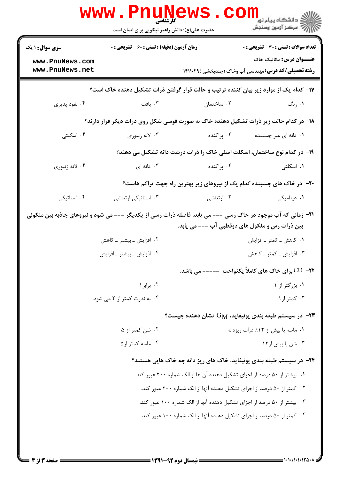|                                                                                                                      | WWW.Pnung<br>حضرت علی(ع): دانش راهبر نیکویی برای ایمان است |                                                                                       | ڪ دانشڪاه پيام نور ■<br> 7- مرکز آزمون وسنڊش                                                   |
|----------------------------------------------------------------------------------------------------------------------|------------------------------------------------------------|---------------------------------------------------------------------------------------|------------------------------------------------------------------------------------------------|
| <b>سری سوال : ۱ یک</b>                                                                                               | <b>زمان آزمون (دقیقه) : تستی : 60 ٪ تشریحی : 0</b>         |                                                                                       | <b>تعداد سوالات : تستی : 30 ٪ تشریحی : 0</b>                                                   |
| www.PnuNews.com<br>www.PnuNews.net                                                                                   |                                                            |                                                                                       | <b>عنـــوان درس:</b> مکانیک خاک<br><b>رشته تحصیلی/کد درس:</b> مهندسی آب وخاک (چندبخشی )۱۴۱۱۰۲۹ |
|                                                                                                                      |                                                            | ۱۷– کدام یک از موارد زیر بیان کننده ترتیب و حالت قرار گرفتن ذرات تشکیل دهنده خاک است؟ |                                                                                                |
| ۰۴ نفوذ پذیری                                                                                                        | ۰۳ بافت                                                    | ۰۲ ساختمان استان                                                                      | ۰۱ رنگ                                                                                         |
|                                                                                                                      |                                                            | ۱۸– در کدام حالت زیر ذرات تشکیل دهنده خاک به صورت قوسی شکل روی ذرات دیگر قرار دارند؟  |                                                                                                |
| ۰۴ اسکلتی                                                                                                            | ۰۳ لانه زنبوري                                             | ۰۲ پراکنده                                                                            | ۰۱ دانه ای غیر چسبنده                                                                          |
|                                                                                                                      |                                                            | ۱۹- در کدام نوع ساختمان، اسکلت اصلی خاک را ذرات درشت دانه تشکیل می دهند؟              |                                                                                                |
| ۰۴ لانه زنبوري                                                                                                       | ۰۳ دانه ای                                                 | ۰۲ پراکنده                                                                            | ۰۱ اسکلتی                                                                                      |
|                                                                                                                      |                                                            | +۲- در خاک های چسبنده کدام یک از نیروهای زیر بهترین راه جهت تراکم هاست؟               |                                                                                                |
| ۰۴ استاتیکی                                                                                                          | ۰۳ استاتیکی ارتعاشی                                        | ۰۲ ارتعاشی                                                                            | ٠١ ديناميكى                                                                                    |
| <b>۲۱</b> - زمانی که آب موجود در خاک رسی --- می یابد، فاصله ذرات رسی از یکدیگر --- می شود و نیروهای جاذبه بین ملکولی |                                                            | بین ذرات رس و ملکول های دوقطبی آب --- می یابد.                                        |                                                                                                |
|                                                                                                                      | ۰۲ افزایش ـ بیشتر ـ کاهش                                   |                                                                                       | ۰۱ کاهش ــ کمتر ــ افزايش                                                                      |
|                                                                                                                      | ۰۴ افزایش ــ بیشتر ــ افزایش                               |                                                                                       | ۰۳ افزایش ـ کمتر ـ کاهش                                                                        |
|                                                                                                                      |                                                            |                                                                                       | <b>۲۲-</b> CU برای خاک های کاملاً یکنواخت ----- می باشد.                                       |
|                                                                                                                      | ۰۲ برابر ۱                                                 |                                                                                       | ۰۱ بزرگتر از ۱                                                                                 |
|                                                                                                                      | ۰۴ به ندرت کمتر از ۲ می شود.                               |                                                                                       | ۰۳ کمتر از ۱                                                                                   |
|                                                                                                                      |                                                            | ور سیستم طبقه بندی یونیفاید، ${\rm G}_{\rm M}$ نشان دهنده چیست $\cdot$                |                                                                                                |
|                                                                                                                      | ۰۲ شن کمتر از ۵                                            |                                                                                       | ۰۱ ماسه با بیش از ۱۲٪ ذرات ریزدانه                                                             |
|                                                                                                                      | ۰۴ ماسه کمتر از ۵                                          |                                                                                       | ۰۳ شن با بیش از ۱۲                                                                             |
|                                                                                                                      |                                                            | ۲۴- در سیستم طبقه بندی پونیفاید، خاک های ریز دانه چه خاک هایی هستند؟                  |                                                                                                |
|                                                                                                                      |                                                            | ۰۱ بیشتر از ۵۰ درصد از اجزای تشکیل دهنده آن ها از الک شماره ۲۰۰ عبور کند.             |                                                                                                |
|                                                                                                                      |                                                            | ۰۲ کمتر از ۵۰ درصد از اجزای تشکیل دهنده آنها از الک شماره ۲۰۰ عبور کند.               |                                                                                                |
|                                                                                                                      |                                                            | ۰۳ بیشتر از ۵۰ درصد از اجزای تشکیل دهنده آنها از الک شماره ۱۰۰ عبور کند.              |                                                                                                |
|                                                                                                                      |                                                            | ۰۴ کمتر از ۵۰ درصد از اجزای تشکیل دهنده آنها از الک شماره ۱۰۰ عبور کند.               |                                                                                                |
|                                                                                                                      |                                                            |                                                                                       |                                                                                                |